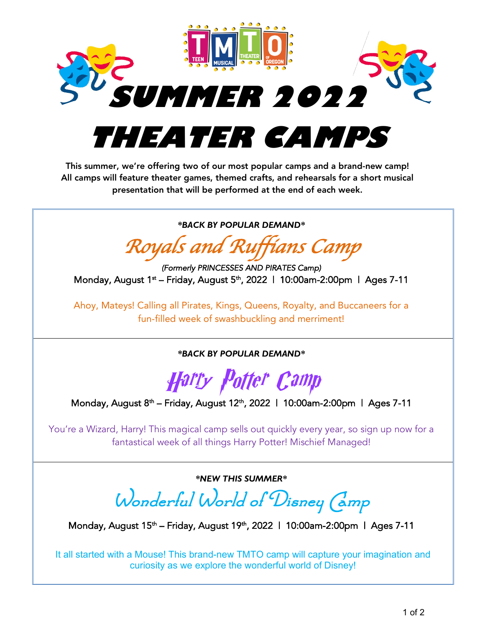

## **THEATER CAMPS**

This summer, we're offering two of our most popular camps and a brand-new camp! All camps will feature theater games, themed crafts, and rehearsals for a short musical presentation that will be performed at the end of each week.

*\*BACK BY POPULAR DEMAND\**

*Royals and Ruffians Camp*

*(Formerly PRINCESSES AND PIRATES Camp)*  Monday, August 1<sup>st</sup> – Friday, August 5<sup>th</sup>, 2022 | 10:00am-2:00pm | Ages 7-11

Ahoy, Mateys! Calling all Pirates, Kings, Queens, Royalty, and Buccaneers for a fun-filled week of swashbuckling and merriment!

*\*BACK BY POPULAR DEMAND\**

Harry Potter Camp

Monday, August 8<sup>th</sup> – Friday, August 12<sup>th</sup>, 2022 | 10:00am-2:00pm | Ages 7-11

You're a Wizard, Harry! This magical camp sells out quickly every year, so sign up now for a fantastical week of all things Harry Potter! Mischief Managed!

*\*NEW THIS SUMMER\**

Wonderful World of Disney (amp

Monday, August 15<sup>th</sup> – Friday, August 19<sup>th</sup>, 2022 | 10:00am-2:00pm | Ages 7-11

It all started with a Mouse! This brand-new TMTO camp will capture your imagination and curiosity as we explore the wonderful world of Disney!